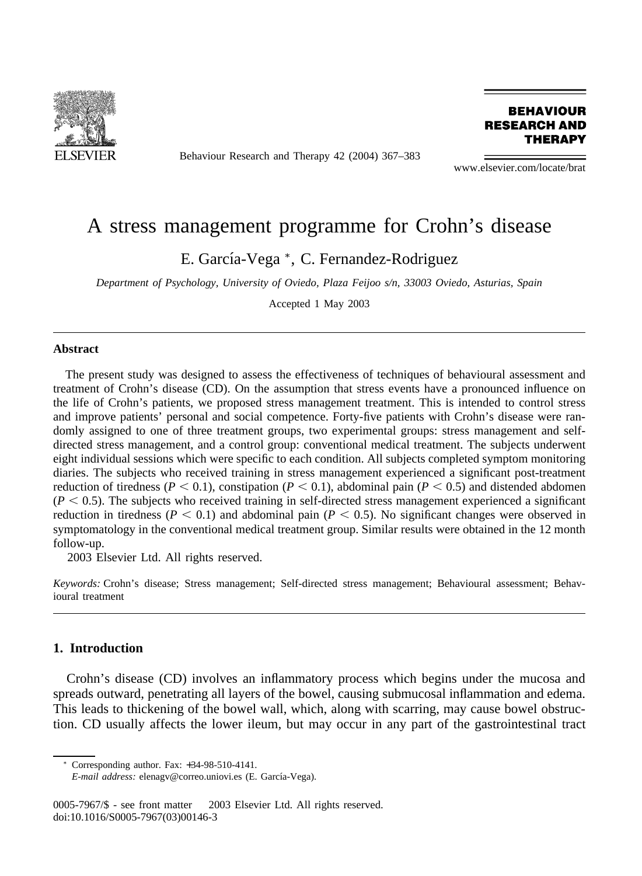

Behaviour Research and Therapy 42 (2004) 367–383

**BEHAVIOUR RESEARCH AND THERAPY** 

www.elsevier.com/locate/brat

## A stress management programme for Crohn's disease

E. García-Vega \*, C. Fernandez-Rodriguez

*Department of Psychology, University of Oviedo, Plaza Feijoo s/n, 33003 Oviedo, Asturias, Spain*

Accepted 1 May 2003

#### **Abstract**

The present study was designed to assess the effectiveness of techniques of behavioural assessment and treatment of Crohn's disease (CD). On the assumption that stress events have a pronounced influence on the life of Crohn's patients, we proposed stress management treatment. This is intended to control stress and improve patients' personal and social competence. Forty-five patients with Crohn's disease were randomly assigned to one of three treatment groups, two experimental groups: stress management and selfdirected stress management, and a control group: conventional medical treatment. The subjects underwent eight individual sessions which were specific to each condition. All subjects completed symptom monitoring diaries. The subjects who received training in stress management experienced a significant post-treatment reduction of tiredness ( $P < 0.1$ ), constipation ( $P < 0.1$ ), abdominal pain ( $P < 0.5$ ) and distended abdomen  $(P < 0.5)$ . The subjects who received training in self-directed stress management experienced a significant reduction in tiredness ( $P < 0.1$ ) and abdominal pain ( $P < 0.5$ ). No significant changes were observed in symptomatology in the conventional medical treatment group. Similar results were obtained in the 12 month follow-up.

2003 Elsevier Ltd. All rights reserved.

*Keywords:* Crohn's disease; Stress management; Self-directed stress management; Behavioural assessment; Behavioural treatment

### **1. Introduction**

Crohn's disease (CD) involves an inflammatory process which begins under the mucosa and spreads outward, penetrating all layers of the bowel, causing submucosal inflammation and edema. This leads to thickening of the bowel wall, which, along with scarring, may cause bowel obstruction. CD usually affects the lower ileum, but may occur in any part of the gastrointestinal tract

Corresponding author. Fax: +34-98-510-4141.

*E-mail address:* elenagv@correo.uniovi.es (E. García-Vega).

<sup>0005-7967/\$ -</sup> see front matter © 2003 Elsevier Ltd. All rights reserved. doi:10.1016/S0005-7967(03)00146-3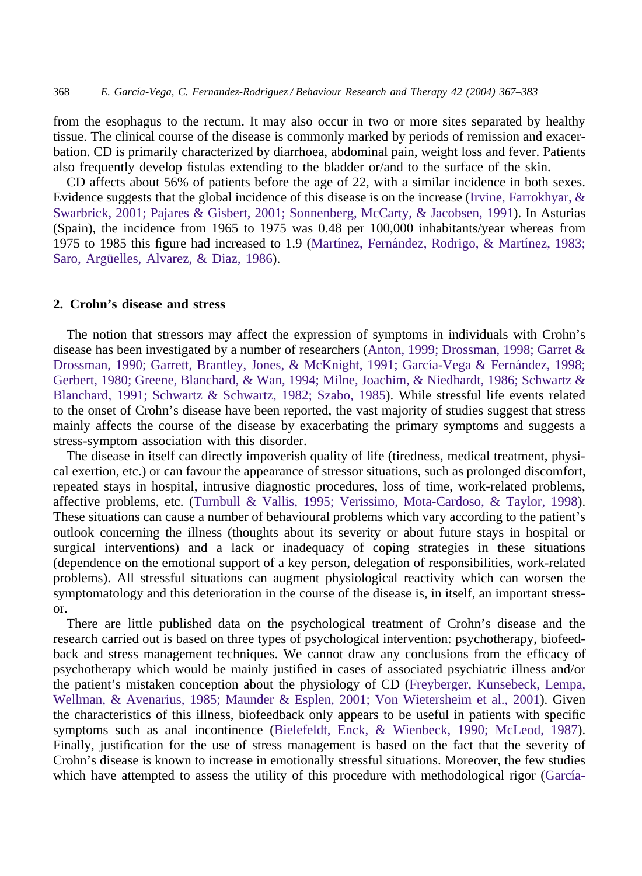from the esophagus to the rectum. It may also occur in two or more sites separated by healthy tissue. The clinical course of the disease is commonly marked by periods of remission and exacerbation. CD is primarily characterized by diarrhoea, abdominal pain, weight loss and fever. Patients also frequently develop fistulas extending to the bladder or/and to the surface of the skin.

CD affects about 56% of patients before the age of 22, with a similar incidence in both sexes. Evidence suggests that the global incidence of this disease is on the increase [\(Irvine, Farrokhyar, &](#page--1-0) [Swarbrick, 2001; Pajares & Gisbert, 2001; Sonnenberg, McCarty, & Jacobsen, 1991\)](#page--1-0). In Asturias (Spain), the incidence from 1965 to 1975 was 0.48 per 100,000 inhabitants/year whereas from 1975 to 1985 this figure had increased to 1.9 (Martínez, Fernández, Rodrigo, & Martínez, 1983; Saro, Argüelles, Alvarez, & Diaz, 1986).

### **2. Crohn's disease and stress**

The notion that stressors may affect the expression of symptoms in individuals with Crohn's disease has been investigated by a number of researchers [\(Anton, 1999; Drossman, 1998; Garret &](#page--1-0) Drossman, 1990; Garrett, Brantley, Jones, & McKnight, 1991; García-Vega & Fernández, 1998; [Gerbert, 1980; Greene, Blanchard, & Wan, 1994; Milne, Joachim, & Niedhardt, 1986; Schwartz &](#page--1-0) [Blanchard, 1991; Schwartz & Schwartz, 1982; Szabo, 1985\)](#page--1-0). While stressful life events related to the onset of Crohn's disease have been reported, the vast majority of studies suggest that stress mainly affects the course of the disease by exacerbating the primary symptoms and suggests a stress-symptom association with this disorder.

The disease in itself can directly impoverish quality of life (tiredness, medical treatment, physical exertion, etc.) or can favour the appearance of stressor situations, such as prolonged discomfort, repeated stays in hospital, intrusive diagnostic procedures, loss of time, work-related problems, affective problems, etc. [\(Turnbull & Vallis, 1995; Verissimo, Mota-Cardoso, & Taylor, 1998\)](#page--1-0). These situations can cause a number of behavioural problems which vary according to the patient's outlook concerning the illness (thoughts about its severity or about future stays in hospital or surgical interventions) and a lack or inadequacy of coping strategies in these situations (dependence on the emotional support of a key person, delegation of responsibilities, work-related problems). All stressful situations can augment physiological reactivity which can worsen the symptomatology and this deterioration in the course of the disease is, in itself, an important stressor.

There are little published data on the psychological treatment of Crohn's disease and the research carried out is based on three types of psychological intervention: psychotherapy, biofeedback and stress management techniques. We cannot draw any conclusions from the efficacy of psychotherapy which would be mainly justified in cases of associated psychiatric illness and/or the patient's mistaken conception about the physiology of CD [\(Freyberger, Kunsebeck, Lempa,](#page--1-0) [Wellman, & Avenarius, 1985; Maunder & Esplen, 2001; Von Wietersheim et al., 2001\)](#page--1-0). Given the characteristics of this illness, biofeedback only appears to be useful in patients with specific symptoms such as anal incontinence [\(Bielefeldt, Enck, & Wienbeck, 1990; McLeod, 1987\)](#page--1-0). Finally, justification for the use of stress management is based on the fact that the severity of Crohn's disease is known to increase in emotionally stressful situations. Moreover, the few studies which have attempted to assess the utility of this procedure with methodological rigor (García-